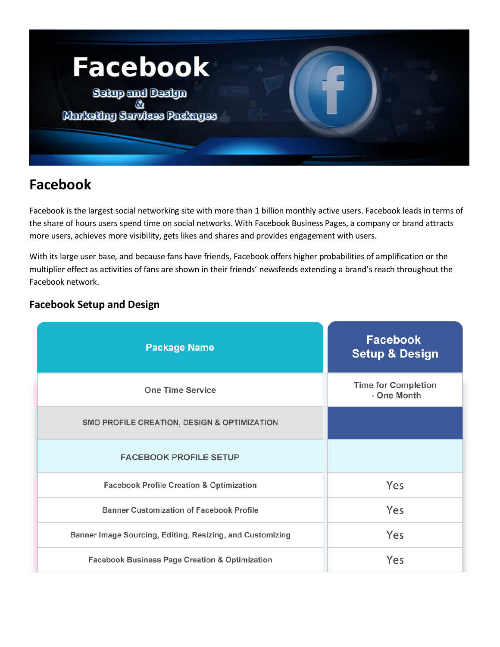

# **Facebook**

Facebook is the largest social networking site with more than 1 billion monthly active users. Facebook leads in terms of the share of hours users spend time on social networks. With Facebook Business Pages, a company or brand attracts more users, achieves more visibility, gets likes and shares and provides engagement with users.

With its large user base, and because fans have friends, Facebook offers higher probabilities of amplification or the multiplier effect as activities of fans are shown in their friends' newsfeeds extending a brand's reach throughout the Facebook network.

## **Facebook Setup and Design**

| <b>Package Name</b>                                       | <b>Facebook</b><br><b>Setup &amp; Design</b> |
|-----------------------------------------------------------|----------------------------------------------|
| <b>One Time Service</b>                                   | <b>Time for Completion</b><br>- One Month    |
| SMO PROFILE CREATION, DESIGN & OPTIMIZATION               |                                              |
| <b>FACEBOOK PROFILE SETUP</b>                             |                                              |
| <b>Facebook Profile Creation &amp; Optimization</b>       | Yes                                          |
| <b>Banner Customization of Facebook Profile</b>           | Yes                                          |
| Banner Image Sourcing, Editing, Resizing, and Customizing | Yes                                          |
| <b>Facebook Business Page Creation &amp; Optimization</b> | Yes                                          |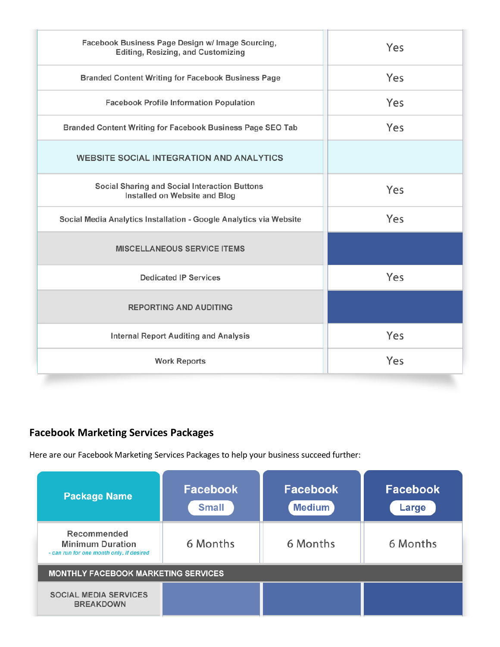| Facebook Business Page Design w/ Image Sourcing,<br>Editing, Resizing, and Customizing | Yes |
|----------------------------------------------------------------------------------------|-----|
| <b>Branded Content Writing for Facebook Business Page</b>                              | Yes |
| <b>Facebook Profile Information Population</b>                                         | Yes |
| Branded Content Writing for Facebook Business Page SEO Tab                             | Yes |
| <b>WEBSITE SOCIAL INTEGRATION AND ANALYTICS</b>                                        |     |
| Social Sharing and Social Interaction Buttons<br>Installed on Website and Blog         | Yes |
| Social Media Analytics Installation - Google Analytics via Website                     | Yes |
| <b>MISCELLANEOUS SERVICE ITEMS</b>                                                     |     |
| <b>Dedicated IP Services</b>                                                           | Yes |
| <b>REPORTING AND AUDITING</b>                                                          |     |
| <b>Internal Report Auditing and Analysis</b>                                           | Yes |
| <b>Work Reports</b>                                                                    | Yes |

## **Facebook Marketing Services Packages**

Here are our Facebook Marketing Services Packages to help your business succeed further:

| <b>Package Name</b>                                                                | <b>Facebook</b><br><b>Small</b> | <b>Facebook</b><br><b>Medium</b> | <b>Facebook</b><br>Large |  |
|------------------------------------------------------------------------------------|---------------------------------|----------------------------------|--------------------------|--|
| Recommended<br><b>Minimum Duration</b><br>- can run for one month only, if desired | 6 Months                        | 6 Months                         | 6 Months                 |  |
| <b>MONTHLY FACEBOOK MARKETING SERVICES</b>                                         |                                 |                                  |                          |  |
| <b>SOCIAL MEDIA SERVICES</b><br><b>BREAKDOWN</b>                                   |                                 |                                  |                          |  |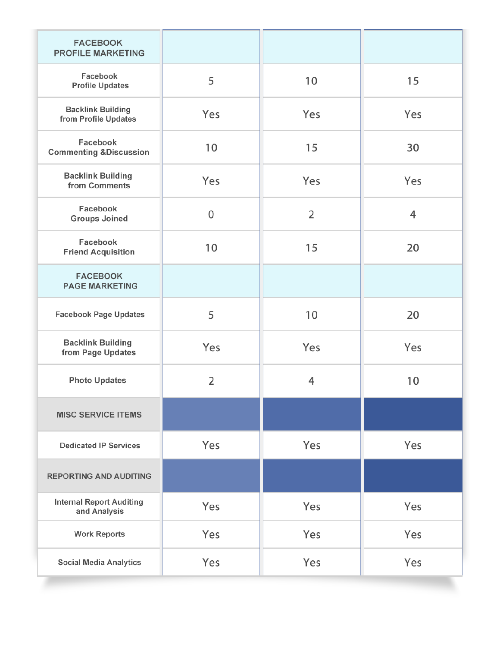| <b>FACEBOOK</b><br><b>PROFILE MARKETING</b>      |                |                |     |
|--------------------------------------------------|----------------|----------------|-----|
| Facebook<br><b>Profile Updates</b>               | 5              | 10             | 15  |
| <b>Backlink Building</b><br>from Profile Updates | Yes            | Yes            | Yes |
| Facebook<br><b>Commenting &amp;Discussion</b>    | 10             | 15             | 30  |
| <b>Backlink Building</b><br>from Comments        | Yes            | Yes            | Yes |
| Facebook<br><b>Groups Joined</b>                 | 0              | $\overline{2}$ | 4   |
| Facebook<br><b>Friend Acquisition</b>            | 10             | 15             | 20  |
| <b>FACEBOOK</b><br><b>PAGE MARKETING</b>         |                |                |     |
| <b>Facebook Page Updates</b>                     | 5              | 10             | 20  |
| <b>Backlink Building</b><br>from Page Updates    | Yes            | Yes            | Yes |
| <b>Photo Updates</b>                             | $\overline{2}$ | 4              | 10  |
| <b>MISC SERVICE ITEMS</b>                        |                |                |     |
| <b>Dedicated IP Services</b>                     | Yes            | Yes            | Yes |
| <b>REPORTING AND AUDITING</b>                    |                |                |     |
| <b>Internal Report Auditing</b><br>and Analysis  | Yes            | Yes            | Yes |
| <b>Work Reports</b>                              | Yes            | Yes            | Yes |
| <b>Social Media Analytics</b>                    | Yes            | Yes            | Yes |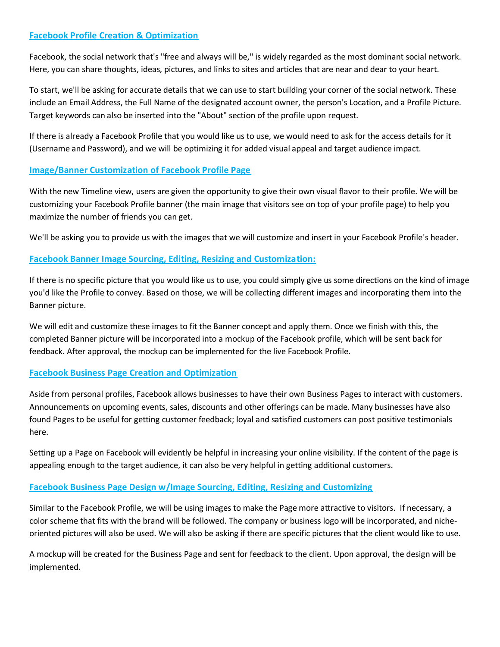## **Facebook Profile Creation & Optimization**

Facebook, the social network that's "free and always will be," is widely regarded as the most dominant social network. Here, you can share thoughts, ideas, pictures, and links to sites and articles that are near and dear to your heart.

To start, we'll be asking for accurate details that we can use to start building your corner of the social network. These include an Email Address, the Full Name of the designated account owner, the person's Location, and a Profile Picture. Target keywords can also be inserted into the "About" section of the profile upon request.

If there is already a Facebook Profile that you would like us to use, we would need to ask for the access details for it (Username and Password), and we will be optimizing it for added visual appeal and target audience impact.

## **Image/Banner Customization of Facebook Profile Page**

With the new Timeline view, users are given the opportunity to give their own visual flavor to their profile. We will be customizing your Facebook Profile banner (the main image that visitors see on top of your profile page) to help you maximize the number of friends you can get.

We'll be asking you to provide us with the images that we will customize and insert in your Facebook Profile's header.

## **Facebook Banner Image Sourcing, Editing, Resizing and Customization:**

If there is no specific picture that you would like us to use, you could simply give us some directions on the kind of image you'd like the Profile to convey. Based on those, we will be collecting different images and incorporating them into the Banner picture.

We will edit and customize these images to fit the Banner concept and apply them. Once we finish with this, the completed Banner picture will be incorporated into a mockup of the Facebook profile, which will be sent back for feedback. After approval, the mockup can be implemented for the live Facebook Profile.

## **Facebook Business Page Creation and Optimization**

Aside from personal profiles, Facebook allows businesses to have their own Business Pages to interact with customers. Announcements on upcoming events, sales, discounts and other offerings can be made. Many businesses have also found Pages to be useful for getting customer feedback; loyal and satisfied customers can post positive testimonials here.

Setting up a Page on Facebook will evidently be helpful in increasing your online visibility. If the content of the page is appealing enough to the target audience, it can also be very helpful in getting additional customers.

## **Facebook Business Page Design w/Image Sourcing, Editing, Resizing and Customizing**

Similar to the Facebook Profile, we will be using images to make the Page more attractive to visitors. If necessary, a color scheme that fits with the brand will be followed. The company or business logo will be incorporated, and nicheoriented pictures will also be used. We will also be asking if there are specific pictures that the client would like to use.

A mockup will be created for the Business Page and sent for feedback to the client. Upon approval, the design will be implemented.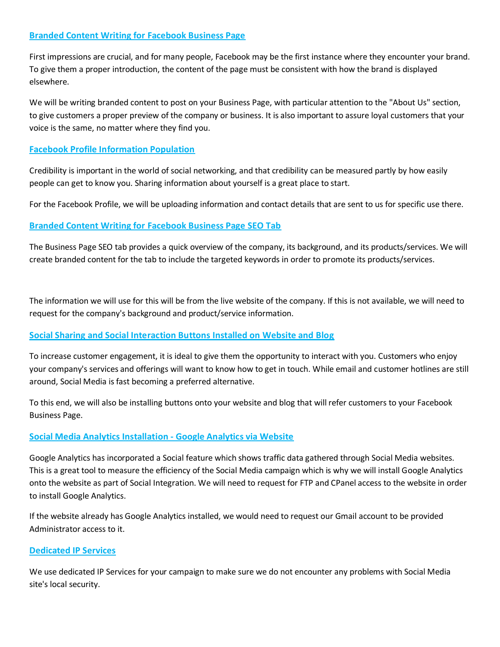## **Branded Content Writing for Facebook Business Page**

First impressions are crucial, and for many people, Facebook may be the first instance where they encounter your brand. To give them a proper introduction, the content of the page must be consistent with how the brand is displayed elsewhere.

We will be writing branded content to post on your Business Page, with particular attention to the "About Us" section, to give customers a proper preview of the company or business. It is also important to assure loyal customers that your voice is the same, no matter where they find you.

### **Facebook Profile Information Population**

Credibility is important in the world of social networking, and that credibility can be measured partly by how easily people can get to know you. Sharing information about yourself is a great place to start.

For the Facebook Profile, we will be uploading information and contact details that are sent to us for specific use there.

## **Branded Content Writing for Facebook Business Page SEO Tab**

The Business Page SEO tab provides a quick overview of the company, its background, and its products/services. We will create branded content for the tab to include the targeted keywords in order to promote its products/services.

The information we will use for this will be from the live website of the company. If this is not available, we will need to request for the company's background and product/service information.

## **Social Sharing and Social Interaction Buttons Installed on Website and Blog**

To increase customer engagement, it is ideal to give them the opportunity to interact with you. Customers who enjoy your company's services and offerings will want to know how to get in touch. While email and customer hotlines are still around, Social Media is fast becoming a preferred alternative.

To this end, we will also be installing buttons onto your website and blog that will refer customers to your Facebook Business Page.

## **Social Media Analytics Installation - Google Analytics via Website**

Google Analytics has incorporated a Social feature which shows traffic data gathered through Social Media websites. This is a great tool to measure the efficiency of the Social Media campaign which is why we will install Google Analytics onto the website as part of Social Integration. We will need to request for FTP and CPanel access to the website in order to install Google Analytics.

If the website already has Google Analytics installed, we would need to request our Gmail account to be provided Administrator access to it.

## **Dedicated IP Services**

We use dedicated IP Services for your campaign to make sure we do not encounter any problems with Social Media site's local security.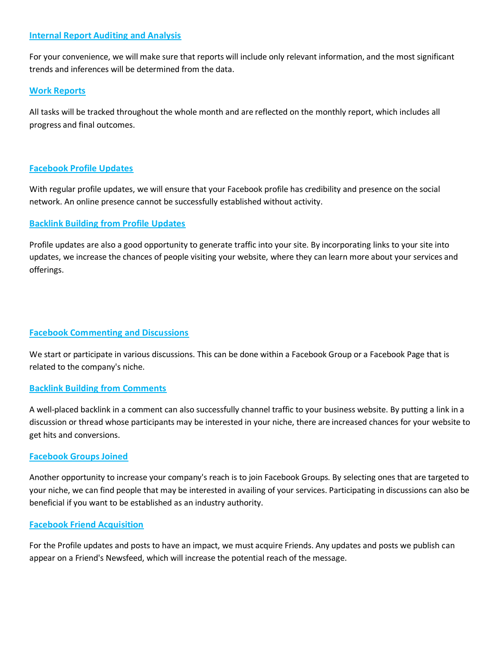#### **Internal Report Auditing and Analysis**

For your convenience, we will make sure that reports will include only relevant information, and the most significant trends and inferences will be determined from the data.

#### **Work Reports**

All tasks will be tracked throughout the whole month and are reflected on the monthly report, which includes all progress and final outcomes.

## **Facebook Profile Updates**

With regular profile updates, we will ensure that your Facebook profile has credibility and presence on the social network. An online presence cannot be successfully established without activity.

#### **Backlink Building from Profile Updates**

Profile updates are also a good opportunity to generate traffic into your site. By incorporating links to your site into updates, we increase the chances of people visiting your website, where they can learn more about your services and offerings.

## **Facebook Commenting and Discussions**

We start or participate in various discussions. This can be done within a Facebook Group or a Facebook Page that is related to the company's niche.

#### **Backlink Building from Comments**

A well-placed backlink in a comment can also successfully channel traffic to your business website. By putting a link in a discussion or thread whose participants may be interested in your niche, there are increased chances for your website to get hits and conversions.

#### **Facebook Groups Joined**

Another opportunity to increase your company's reach is to join Facebook Groups. By selecting ones that are targeted to your niche, we can find people that may be interested in availing of your services. Participating in discussions can also be beneficial if you want to be established as an industry authority.

#### **Facebook Friend Acquisition**

For the Profile updates and posts to have an impact, we must acquire Friends. Any updates and posts we publish can appear on a Friend's Newsfeed, which will increase the potential reach of the message.